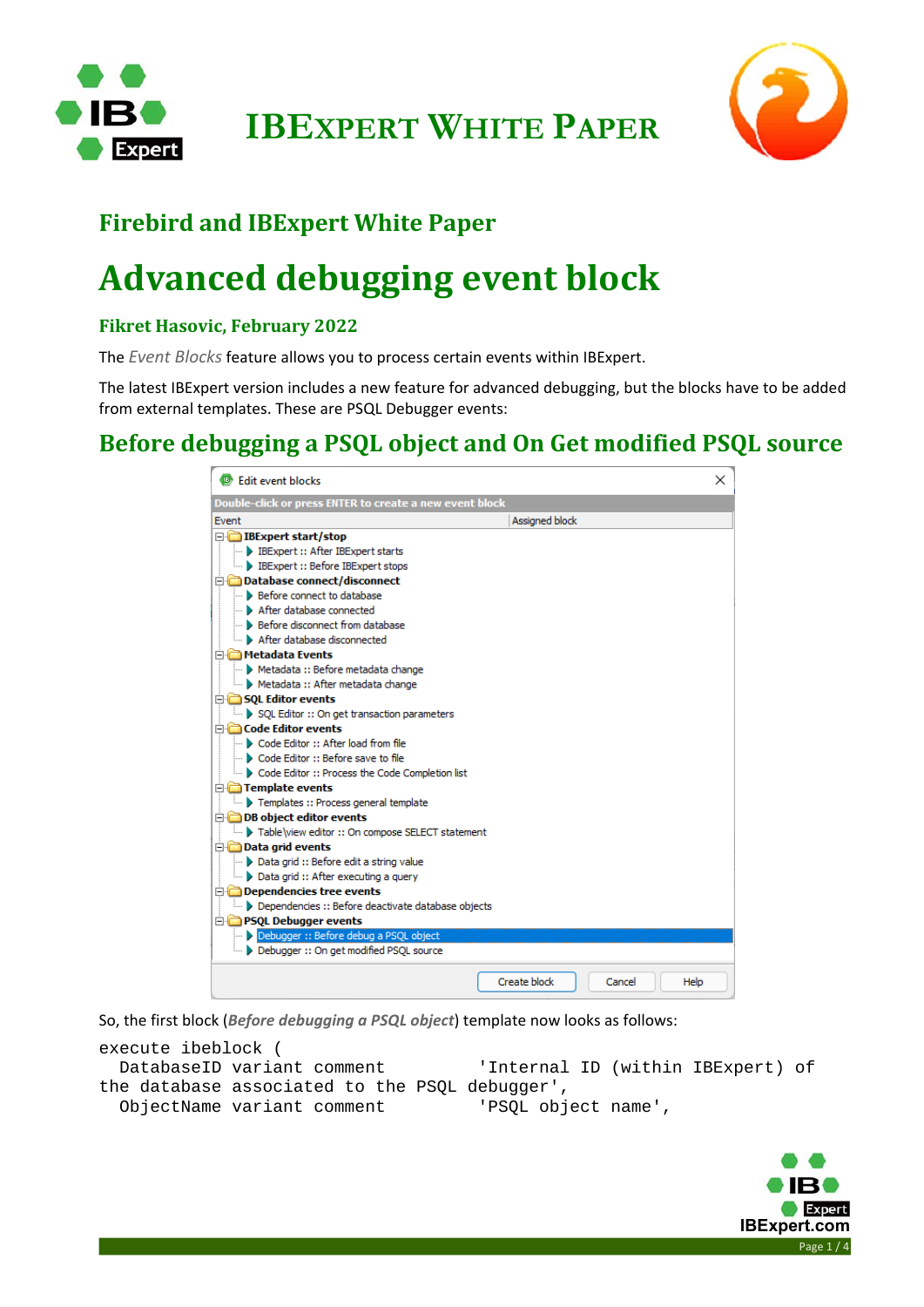

**IBEXPERT WHITE PAPER**



### **Firebird and IBExpert White Paper**

# **Advanced debugging event block**

#### **Fikret Hasovic, February 2022**

The *Event Blocks* feature allows you to process certain events within IBExpert.

The latest IBExpert version includes a new feature for advanced debugging, but the blocks have to be added from external templates. These are PSQL Debugger events:

#### **Before debugging a PSQL object and On Get modified PSQL source**

| <sup>13</sup> Edit event blocks                         |                |        | ×    |
|---------------------------------------------------------|----------------|--------|------|
| Double-click or press ENTER to create a new event block |                |        |      |
| Fvent                                                   | Assigned block |        |      |
| <b>E-C</b> IBExpert start/stop                          |                |        |      |
| <b>BEXpert :: After IBEXpert starts</b>                 |                |        |      |
| <b>Expert :: Before IBExpert stops</b>                  |                |        |      |
| □ Database connect/disconnect                           |                |        |      |
| <b>Before connect to database</b>                       |                |        |      |
| After database connected                                |                |        |      |
| <b>Before disconnect from database</b>                  |                |        |      |
| After database disconnected                             |                |        |      |
| <b>E</b> Metadata Events                                |                |        |      |
| Metadata :: Before metadata change                      |                |        |      |
| Metadata :: After metadata change                       |                |        |      |
| □ SOL Editor events                                     |                |        |      |
| SQL Editor :: On get transaction parameters             |                |        |      |
| <b>Example 2</b> Code Editor events                     |                |        |      |
| Code Editor :: After load from file                     |                |        |      |
| Code Editor :: Before save to file                      |                |        |      |
| Code Editor :: Process the Code Completion list         |                |        |      |
| <b>Example to France Template events</b>                |                |        |      |
| Templates :: Process general template                   |                |        |      |
| <b>DB</b> object editor events                          |                |        |      |
| Table\view editor :: On compose SELECT statement        |                |        |      |
| <b>Data grid events</b>                                 |                |        |      |
| → Data grid :: Before edit a string value               |                |        |      |
| Data grid :: After executing a query                    |                |        |      |
| <b>Dependencies tree events</b>                         |                |        |      |
| Dependencies :: Before deactivate database objects      |                |        |      |
| <b>E-B</b> PSQL Debugger events                         |                |        |      |
| Debugger :: Before debug a PSQL object                  |                |        |      |
| Debugger :: On get modified PSOL source                 |                |        |      |
|                                                         | Create block   | Cancel | Help |
|                                                         |                |        |      |

So, the first block (*Before debugging a PSQL object*) template now looks as follows:

```
execute ibeblock ( 
  DatabaseID variant comment 'Internal ID (within IBExpert) of 
the database associated to the PSQL debugger', 
  ObjectName variant comment 'PSQL object name',
```
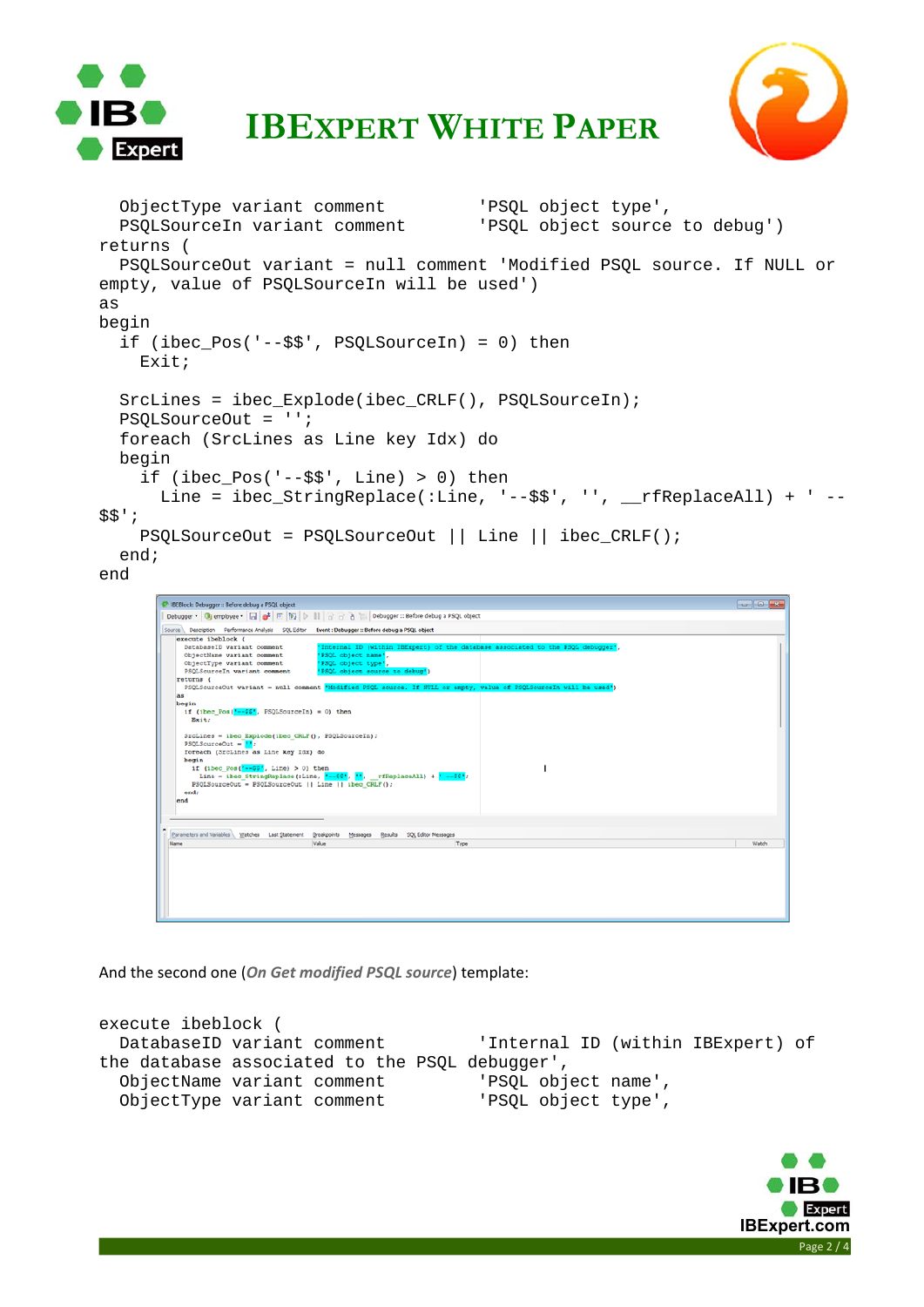



### **IBEXPERT WHITE PAPER**

```
 ObjectType variant comment 'PSQL object type', 
   PSQLSourceIn variant comment 'PSQL object source to debug') 
returns ( 
   PSQLSourceOut variant = null comment 'Modified PSQL source. If NULL or 
empty, value of PSQLSourceIn will be used') 
as 
begin 
   if (ibec_Pos('--$$', PSQLSourceIn) = 0) then 
     Exit; 
  SrcLines = ibec Explode(ibec CRLF(), PSQLSourceIn);
   PSQLSourceOut = ''; 
   foreach (SrcLines as Line key Idx) do 
   begin 
     if (ibec_Pos('--$$', Line) > 0) thenLine = ibec_StringReplace(:Line, '--$$', '', __rfReplaceAll) + ' --
$$'; 
     PSQLSourceOut = PSQLSourceOut || Line || ibec_CRLF(); 
   end; 
end 
       Contact
         as<br>begin<br>if (ibec_Pos(<mark>'--$$'</mark>, PSQLSourceIn) = 0) then<br>Exit:
          SrcLines = ibec_Explode(ibec_CRLP(), PSQLSourceIn);<br>PSQLSourceOut = <mark>M</mark>;<br>foreach (SrcLines as Line key Idx) do
```
And the second one (*On Get modified PSQL source*) template:

roreach (Scillnes as Line Key lox) do<br>
hegin<br>
if (100\_Pos (--200), 11n0) > 0) then<br>
inte = ibeo\_StringReplace(:Line, <sup>x</sup>--22', <sup>x2</sup>, \_rTReplaceAll) + <sup>x</sup>--22';<br>
FSQLSourceOut = FSQLSourceOut || Line || ibeo\_CRLF();<br>
end;<br>

Parameters and Variables | Watches Last Statement Breakpoints Messages Results SQL Editor Messages |<br>Value | Tivoe

```
execute ibeblock ( 
  DatabaseID variant comment 'Internal ID (within IBExpert) of 
the database associated to the PSQL debugger', 
  ObjectName variant comment 'PSQL object name', 
  ObjectType variant comment 'PSQL object type',
```
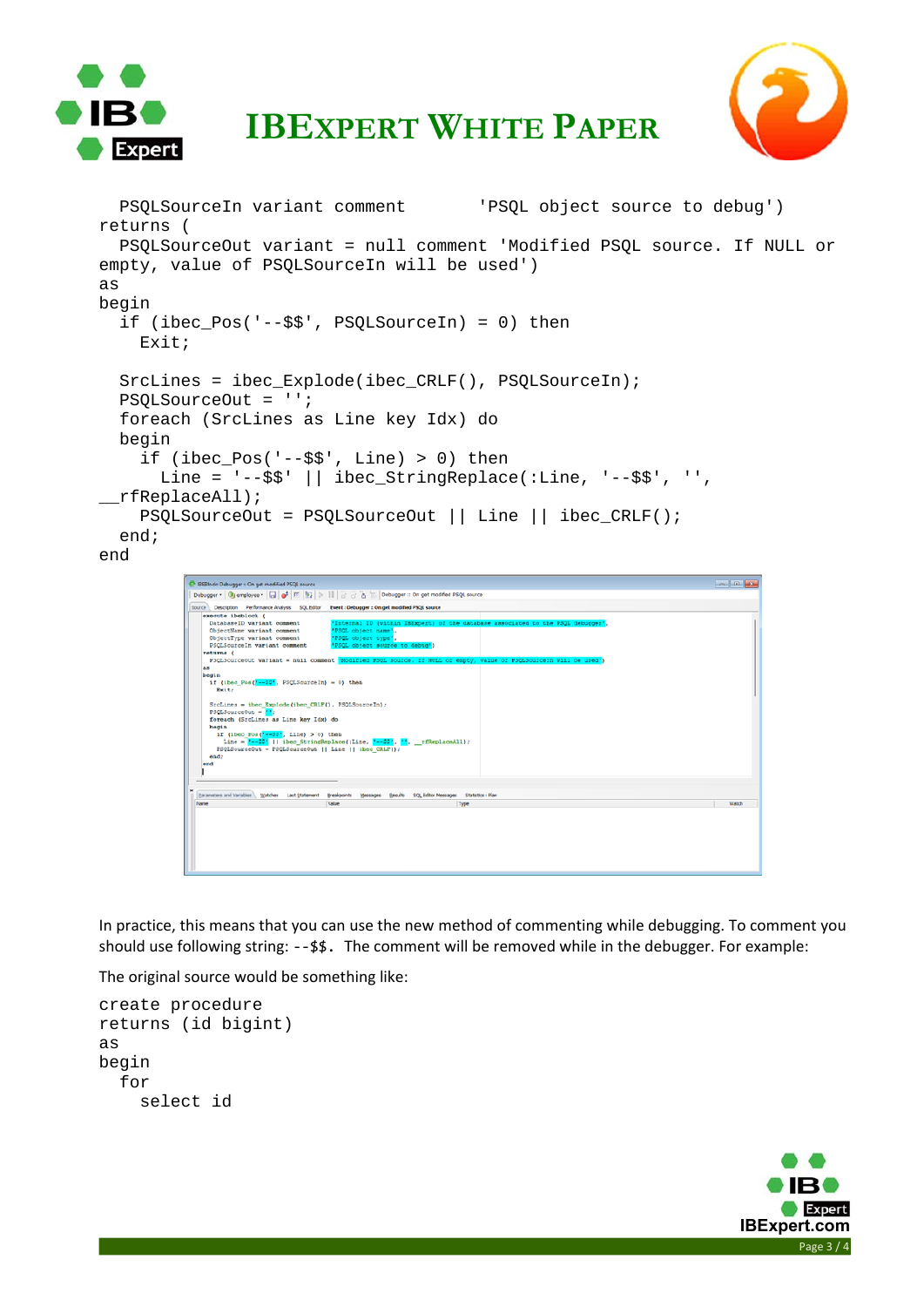



```
IBEXPERT WHITE PAPER
```

```
 PSQLSourceIn variant comment 'PSQL object source to debug') 
returns ( 
   PSQLSourceOut variant = null comment 'Modified PSQL source. If NULL or 
empty, value of PSQLSourceIn will be used') 
as 
begin 
   if (ibec_Pos('--$$', PSQLSourceIn) = 0) then 
     Exit; 
   SrcLines = ibec_Explode(ibec_CRLF(), PSQLSourceIn); 
   PSQLSourceOut = ''; 
   foreach (SrcLines as Line key Idx) do 
   begin 
    if (ibec Pos('--$$', Line) > 0) thenLine = '--\frac{2}{7}; || ibec_StringReplace(:Line, '--\frac{2}{7}; '',
__rfReplaceAll); 
     PSQLSourceOut = PSQLSourceOut || Line || ibec_CRLF(); 
   end; 
end
```

```
C IBEBlock: Debugger :: On get modified PSQL so
  Debugger * | Gli employee * | [2] | a<sup>t</sup> | [7] | b} | | | | a<sup>t</sup> a | | | | Debugger :: On get modified PSQL source
       Expression of the second of the second of the second of the second second and the second second and the second second second control of the second of the second of the second of the second of the second of the second of th
          eturns (<br>PSQLSourceOut variant = null com
                                                                                    ent.
          s<br>egin<br>if (ibec_Pos(<mark>*--20*</mark>, PSQLSourceIn} = 0) then<br>Exit;
          Stellares = iber_Explode(iber_CRLF(), FSQLSourceIn);<br>FSQLSourceOut = \frac{M_1}{n};<br>FSQLSourceOut = \frac{M_2}{n};<br>toreach (Stellares as Line key Idx) do<br>begin<br>if (iber_For-CFP-EXP), Line = \frac{1}{n-2\pi};<br>Line = \frac{n-2\pi}{n-2\f
     Excaveters and Variables | Watches Last Statement Breakpoints Messages Besults SQL Editor Messages Statistics : Plan<br>Value | Type | Type | Type |
```
In practice, this means that you can use the new method of commenting while debugging. To comment you should use following string: ‐‐\$\$. The comment will be removed while in the debugger. For example:

The original source would be something like:

```
create procedure 
returns (id bigint) 
as 
begin 
   for 
     select id
```